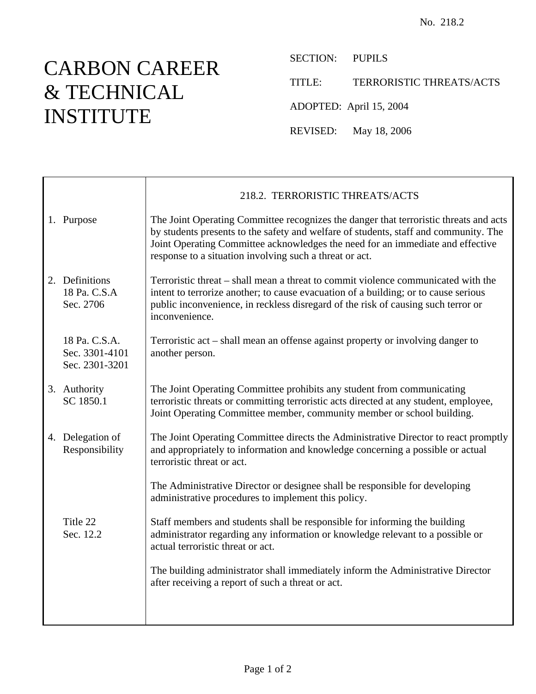## CARBON CAREER & TECHNICAL INSTITUTE

SECTION: PUPILS

TITLE: TERRORISTIC THREATS/ACTS

ADOPTED: April 15, 2004

REVISED: May 18, 2006

|                                                   | 218.2. TERRORISTIC THREATS/ACTS                                                                                                                                                                                                                                                                                            |
|---------------------------------------------------|----------------------------------------------------------------------------------------------------------------------------------------------------------------------------------------------------------------------------------------------------------------------------------------------------------------------------|
| 1. Purpose                                        | The Joint Operating Committee recognizes the danger that terroristic threats and acts<br>by students presents to the safety and welfare of students, staff and community. The<br>Joint Operating Committee acknowledges the need for an immediate and effective<br>response to a situation involving such a threat or act. |
| 2. Definitions<br>18 Pa. C.S.A<br>Sec. 2706       | Terroristic threat – shall mean a threat to commit violence communicated with the<br>intent to terrorize another; to cause evacuation of a building; or to cause serious<br>public inconvenience, in reckless disregard of the risk of causing such terror or<br>inconvenience.                                            |
| 18 Pa. C.S.A.<br>Sec. 3301-4101<br>Sec. 2301-3201 | Terroristic act – shall mean an offense against property or involving danger to<br>another person.                                                                                                                                                                                                                         |
| 3. Authority<br>SC 1850.1                         | The Joint Operating Committee prohibits any student from communicating<br>terroristic threats or committing terroristic acts directed at any student, employee,<br>Joint Operating Committee member, community member or school building.                                                                                  |
| 4. Delegation of<br>Responsibility                | The Joint Operating Committee directs the Administrative Director to react promptly<br>and appropriately to information and knowledge concerning a possible or actual<br>terroristic threat or act.                                                                                                                        |
|                                                   | The Administrative Director or designee shall be responsible for developing<br>administrative procedures to implement this policy.                                                                                                                                                                                         |
| Title 22<br>Sec. 12.2                             | Staff members and students shall be responsible for informing the building<br>administrator regarding any information or knowledge relevant to a possible or<br>actual terroristic threat or act.                                                                                                                          |
|                                                   | The building administrator shall immediately inform the Administrative Director<br>after receiving a report of such a threat or act.                                                                                                                                                                                       |
|                                                   |                                                                                                                                                                                                                                                                                                                            |